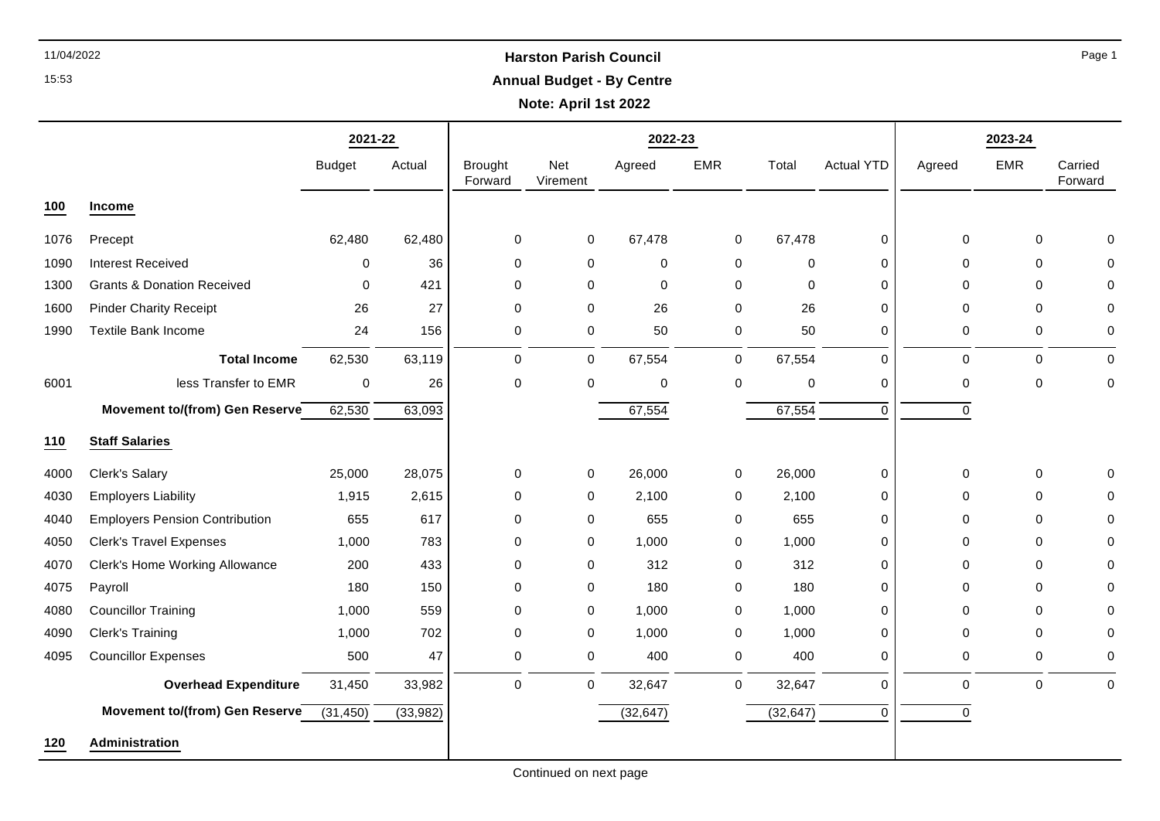## 11/04/2022 **Harston Parish Council Annual Budget - By Centre**

**Note: April 1st 2022**

|      |                                       | 2021-22       |           |                           |                 | 2022-23   |             |             |                   |             | 2023-24     |                    |
|------|---------------------------------------|---------------|-----------|---------------------------|-----------------|-----------|-------------|-------------|-------------------|-------------|-------------|--------------------|
|      |                                       | <b>Budget</b> | Actual    | <b>Brought</b><br>Forward | Net<br>Virement | Agreed    | <b>EMR</b>  | Total       | <b>Actual YTD</b> | Agreed      | <b>EMR</b>  | Carried<br>Forward |
| 100  | <b>Income</b>                         |               |           |                           |                 |           |             |             |                   |             |             |                    |
| 1076 | Precept                               | 62,480        | 62,480    | 0                         | 0               | 67,478    | 0           | 67,478      | 0                 | $\mathbf 0$ | $\mathbf 0$ | $\mathbf{0}$       |
| 1090 | <b>Interest Received</b>              | 0             | 36        | 0                         | $\mathbf 0$     | $\pmb{0}$ | 0           | $\mathbf 0$ | 0                 | 0           | $\mathbf 0$ | 0                  |
| 1300 | <b>Grants &amp; Donation Received</b> | $\mathbf 0$   | 421       | 0                         | 0               | 0         | 0           | $\mathbf 0$ | 0                 | 0           | $\Omega$    | $\mathbf 0$        |
| 1600 | <b>Pinder Charity Receipt</b>         | 26            | 27        | $\mathbf 0$               | $\mathbf 0$     | 26        | $\mathbf 0$ | 26          | 0                 | $\Omega$    | $\Omega$    | $\mathbf 0$        |
| 1990 | <b>Textile Bank Income</b>            | 24            | 156       | 0                         | 0               | 50        | 0           | 50          | 0                 | 0           | 0           | 0                  |
|      | <b>Total Income</b>                   | 62,530        | 63,119    | $\mathbf 0$               | $\mathbf 0$     | 67,554    | $\mathbf 0$ | 67,554      | 0                 | $\Omega$    | $\Omega$    | $\Omega$           |
| 6001 | less Transfer to EMR                  | $\pmb{0}$     | 26        | 0                         | $\mathbf 0$     | $\pmb{0}$ | 0           | $\mathbf 0$ | 0                 | 0           | $\mathbf 0$ | $\mathbf 0$        |
|      | Movement to/(from) Gen Reserve        | 62,530        | 63,093    |                           |                 | 67,554    |             | 67,554      | $\Omega$          | 0           |             |                    |
| 110  | <b>Staff Salaries</b>                 |               |           |                           |                 |           |             |             |                   |             |             |                    |
| 4000 | Clerk's Salary                        | 25,000        | 28,075    | 0                         | 0               | 26,000    | 0           | 26,000      | 0                 | 0           | 0           | 0                  |
| 4030 | <b>Employers Liability</b>            | 1,915         | 2,615     | 0                         | 0               | 2,100     | $\mathbf 0$ | 2,100       | 0                 | 0           | $\Omega$    | 0                  |
| 4040 | <b>Employers Pension Contribution</b> | 655           | 617       | 0                         | 0               | 655       | $\mathbf 0$ | 655         | 0                 | 0           | 0           | 0                  |
| 4050 | <b>Clerk's Travel Expenses</b>        | 1,000         | 783       | 0                         | 0               | 1,000     | 0           | 1,000       | 0                 | 0           | $\Omega$    | 0                  |
| 4070 | Clerk's Home Working Allowance        | 200           | 433       | 0                         | 0               | 312       | 0           | 312         | 0                 | 0           | $\Omega$    | 0                  |
| 4075 | Payroll                               | 180           | 150       | 0                         | 0               | 180       | 0           | 180         | 0                 | $\Omega$    | $\Omega$    | $\mathbf 0$        |
| 4080 | <b>Councillor Training</b>            | 1,000         | 559       | 0                         | 0               | 1,000     | 0           | 1,000       | 0                 | 0           | 0           | 0                  |
| 4090 | Clerk's Training                      | 1,000         | 702       | 0                         | 0               | 1,000     | 0           | 1,000       | 0                 | 0           | $\Omega$    | 0                  |
| 4095 | <b>Councillor Expenses</b>            | 500           | 47        | 0                         | 0               | 400       | 0           | 400         | 0                 | $\mathbf 0$ | $\Omega$    | 0                  |
|      | <b>Overhead Expenditure</b>           | 31,450        | 33,982    | $\pmb{0}$                 | $\pmb{0}$       | 32,647    | $\mathbf 0$ | 32,647      | 0                 | $\pmb{0}$   | $\mathbf 0$ | $\mathbf 0$        |
|      | Movement to/(from) Gen Reserve        | (31, 450)     | (33, 982) |                           |                 | (32, 647) |             | (32, 647)   | $\Omega$          | 0           |             |                    |
| 120  | Administration                        |               |           |                           |                 |           |             |             |                   |             |             |                    |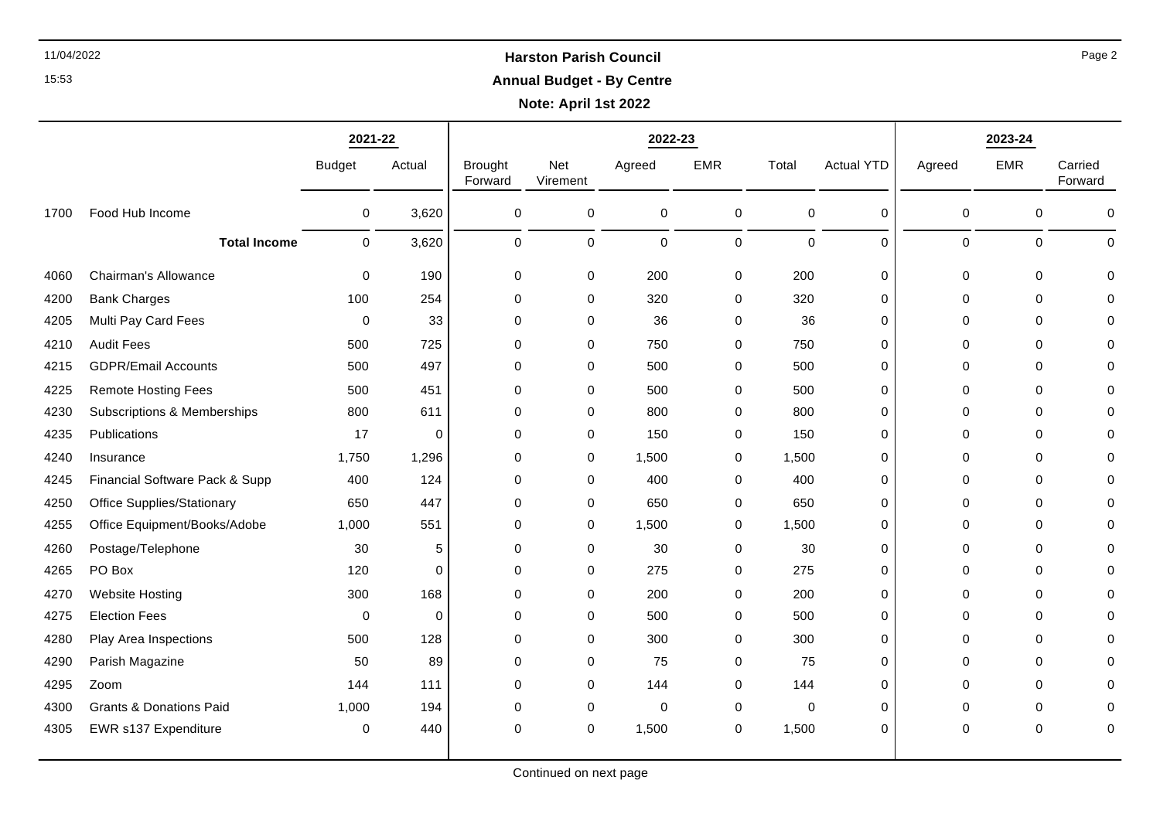## 11/04/2022 **Harston Parish Council Annual Budget - By Centre**

**Note: April 1st 2022**

┯

|      |                                    | 2021-22       |             |                           |                 | 2022-23     |            |             |                   |             |            |                    |
|------|------------------------------------|---------------|-------------|---------------------------|-----------------|-------------|------------|-------------|-------------------|-------------|------------|--------------------|
|      |                                    | <b>Budget</b> | Actual      | <b>Brought</b><br>Forward | Net<br>Virement | Agreed      | <b>EMR</b> | Total       | <b>Actual YTD</b> | Agreed      | <b>EMR</b> | Carried<br>Forward |
| 1700 | Food Hub Income                    | 0             | 3,620       | 0                         | 0               | 0           | 0          | 0           | 0                 | $\pmb{0}$   | 0          | 0                  |
|      | <b>Total Income</b>                | $\mathbf 0$   | 3,620       | 0                         | $\mathbf 0$     | $\pmb{0}$   | 0          | $\pmb{0}$   | 0                 | $\mathbf 0$ | 0          | $\mathbf 0$        |
| 4060 | Chairman's Allowance               | 0             | 190         | 0                         | 0               | 200         | 0          | 200         | 0                 | $\mathbf 0$ | 0          | $\Omega$           |
| 4200 | <b>Bank Charges</b>                | 100           | 254         | $\mathbf 0$               | 0               | 320         | 0          | 320         | 0                 | 0           | 0          |                    |
| 4205 | Multi Pay Card Fees                | 0             | 33          | 0                         | 0               | 36          | 0          | 36          | 0                 | 0           | 0          |                    |
| 4210 | <b>Audit Fees</b>                  | 500           | 725         | 0                         | $\Omega$        | 750         | $\Omega$   | 750         | $\Omega$          | $\Omega$    | 0          | O                  |
| 4215 | <b>GDPR/Email Accounts</b>         | 500           | 497         | 0                         | 0               | 500         | 0          | 500         | 0                 | $\mathbf 0$ | 0          |                    |
| 4225 | <b>Remote Hosting Fees</b>         | 500           | 451         | $\mathbf 0$               | 0               | 500         | 0          | 500         | 0                 | $\mathbf 0$ | 0          | O                  |
| 4230 | Subscriptions & Memberships        | 800           | 611         | $\mathbf 0$               | $\Omega$        | 800         | $\Omega$   | 800         | 0                 | $\Omega$    | 0          |                    |
| 4235 | Publications                       | 17            | 0           | 0                         | 0               | 150         | 0          | 150         | 0                 | $\mathbf 0$ | 0          | O                  |
| 4240 | Insurance                          | 1,750         | 1,296       | 0                         | 0               | 1,500       | 0          | 1,500       | 0                 | 0           | 0          | 0                  |
| 4245 | Financial Software Pack & Supp     | 400           | 124         | $\mathbf 0$               | 0               | 400         | 0          | 400         | 0                 | 0           | 0          |                    |
| 4250 | <b>Office Supplies/Stationary</b>  | 650           | 447         | 0                         | 0               | 650         | 0          | 650         | 0                 | $\mathbf 0$ | 0          |                    |
| 4255 | Office Equipment/Books/Adobe       | 1,000         | 551         | $\Omega$                  | $\mathbf 0$     | 1,500       | $\Omega$   | 1,500       | $\Omega$          | $\Omega$    | 0          |                    |
| 4260 | Postage/Telephone                  | 30            | 5           | 0                         | 0               | 30          | 0          | 30          | 0                 | $\mathbf 0$ | 0          |                    |
| 4265 | PO Box                             | 120           | $\mathbf 0$ | $\mathbf 0$               | 0               | 275         | 0          | 275         | 0                 | $\mathbf 0$ | 0          |                    |
| 4270 | <b>Website Hosting</b>             | 300           | 168         | 0                         | 0               | 200         | $\Omega$   | 200         | $\Omega$          | $\mathbf 0$ | 0          | ∩                  |
| 4275 | <b>Election Fees</b>               | 0             | 0           | 0                         | 0               | 500         | 0          | 500         | 0                 | $\mathbf 0$ | 0          |                    |
| 4280 | Play Area Inspections              | 500           | 128         | $\mathbf 0$               | 0               | 300         | 0          | 300         | $\Omega$          | $\mathbf 0$ | 0          |                    |
| 4290 | Parish Magazine                    | 50            | 89          | 0                         | 0               | 75          | $\Omega$   | 75          | 0                 | $\Omega$    | 0          | O                  |
| 4295 | Zoom                               | 144           | 111         | $\mathbf 0$               | 0               | 144         | 0          | 144         | 0                 | $\mathbf 0$ | 0          |                    |
| 4300 | <b>Grants &amp; Donations Paid</b> | 1,000         | 194         | $\mathbf 0$               | 0               | $\mathbf 0$ | 0          | $\mathbf 0$ | 0                 | $\mathbf 0$ | 0          |                    |
| 4305 | EWR s137 Expenditure               | 0             | 440         | 0                         | 0               | 1,500       | 0          | 1,500       | 0                 | $\mathbf 0$ | 0          | 0                  |

Continued on next page

Page 2

15:53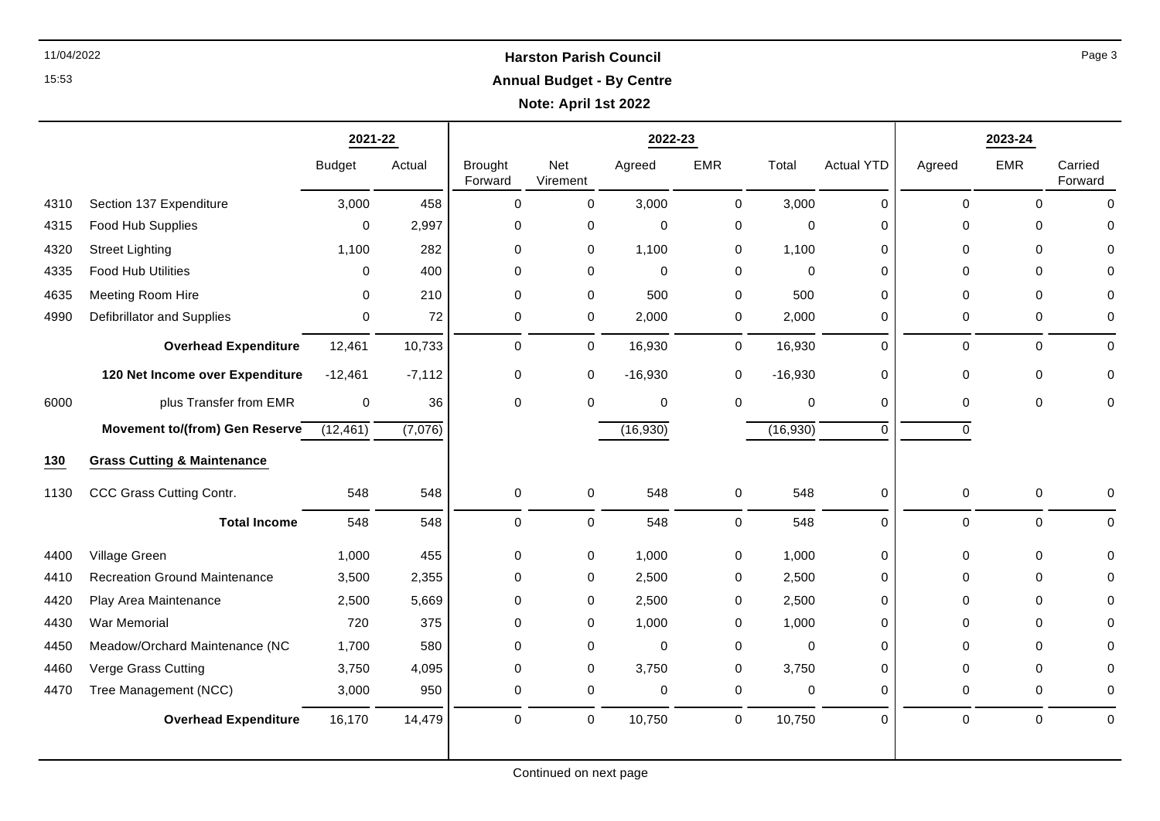## 11/04/2022 **Harston Parish Council Annual Budget - By Centre**

**Note: April 1st 2022**

┯

|      |                                        | 2021-22       |          |                           |                 | 2022-23          |             |           |                   | 2023-24             |             |                    |
|------|----------------------------------------|---------------|----------|---------------------------|-----------------|------------------|-------------|-----------|-------------------|---------------------|-------------|--------------------|
|      |                                        | <b>Budget</b> | Actual   | <b>Brought</b><br>Forward | Net<br>Virement | Agreed           | <b>EMR</b>  | Total     | <b>Actual YTD</b> | Agreed              | <b>EMR</b>  | Carried<br>Forward |
| 4310 | Section 137 Expenditure                | 3,000         | 458      | $\mathbf 0$               | $\mathbf 0$     | 3,000            | $\mathbf 0$ | 3,000     | 0                 | $\mathbf 0$         | $\Omega$    | $\mathbf 0$        |
| 4315 | Food Hub Supplies                      | $\mathbf{0}$  | 2,997    | $\mathbf 0$               | $\pmb{0}$       | $\boldsymbol{0}$ | 0           | 0         | $\Omega$          | $\Omega$            | $\Omega$    | $\mathbf 0$        |
| 4320 | <b>Street Lighting</b>                 | 1,100         | 282      | $\mathbf 0$               | $\mathbf 0$     | 1,100            | 0           | 1,100     | 0                 | $\Omega$            | $\Omega$    | $\Omega$           |
| 4335 | Food Hub Utilities                     | 0             | 400      | $\mathbf 0$               | 0               | $\mathbf 0$      | 0           | 0         | 0                 | $\Omega$            | $\Omega$    | $\mathbf 0$        |
| 4635 | Meeting Room Hire                      | $\mathbf{0}$  | 210      | $\mathbf 0$               | $\pmb{0}$       | 500              | $\pmb{0}$   | 500       | 0                 | $\mathbf 0$         | $\Omega$    | $\mathbf 0$        |
| 4990 | Defibrillator and Supplies             | 0             | 72       | $\mathbf 0$               | 0               | 2,000            | 0           | 2,000     | 0                 | $\mathbf 0$         | $\Omega$    | $\mathbf 0$        |
|      | <b>Overhead Expenditure</b>            | 12,461        | 10,733   | $\mathbf 0$               | 0               | 16,930           | 0           | 16,930    | $\Omega$          | $\mathbf 0$         | $\Omega$    | $\mathbf 0$        |
|      | 120 Net Income over Expenditure        | $-12,461$     | $-7,112$ | 0                         | 0               | $-16,930$        | 0           | $-16,930$ | $\Omega$          | $\Omega$            | $\Omega$    | $\mathbf 0$        |
| 6000 | plus Transfer from EMR                 | $\mathbf 0$   | 36       | $\Omega$                  | $\mathbf 0$     | $\mathbf 0$      | $\mathbf 0$ | 0         | 0                 | $\Omega$            | $\Omega$    | $\mathbf 0$        |
|      | Movement to/(from) Gen Reserve         | (12, 461)     | (7,076)  |                           |                 | (16, 930)        |             | (16, 930) | $\Omega$          | $\Omega$            |             |                    |
| 130  | <b>Grass Cutting &amp; Maintenance</b> |               |          |                           |                 |                  |             |           |                   |                     |             |                    |
| 1130 | CCC Grass Cutting Contr.               | 548           | 548      | $\mathbf 0$               | 0               | 548              | 0           | 548       | 0                 | $\mathbf 0$         | $\mathbf 0$ | $\mathbf 0$        |
|      | <b>Total Income</b>                    | 548           | 548      | $\mathbf 0$               | 0               | 548              | 0           | 548       | 0                 | $\mathbf 0$         | $\Omega$    | $\mathbf 0$        |
| 4400 | Village Green                          | 1,000         | 455      | 0                         | 0               | 1,000            | 0           | 1,000     | 0                 | $\Omega$            | $\Omega$    | $\mathbf 0$        |
| 4410 | <b>Recreation Ground Maintenance</b>   | 3,500         | 2,355    | $\mathbf 0$               | 0               | 2,500            | 0           | 2,500     | 0                 | $\Omega$            | $\Omega$    | $\mathbf 0$        |
| 4420 | Play Area Maintenance                  | 2,500         | 5,669    | $\pmb{0}$                 | 0               | 2,500            | 0           | 2,500     | 0                 | $\Omega$            | $\Omega$    | $\mathbf 0$        |
| 4430 | War Memorial                           | 720           | 375      | $\mathbf 0$               | 0               | 1,000            | 0           | 1,000     | 0                 | $\Omega$            | $\Omega$    | 0                  |
| 4450 | Meadow/Orchard Maintenance (NC         | 1,700         | 580      | $\mathbf 0$               | 0               | $\mathbf 0$      | 0           | 0         | 0                 | $\Omega$            | $\Omega$    | $\Omega$           |
| 4460 | Verge Grass Cutting                    | 3,750         | 4,095    | $\pmb{0}$                 | 0               | 3,750            | 0           | 3,750     | 0                 | $\Omega$            | $\Omega$    | $\mathbf 0$        |
| 4470 | Tree Management (NCC)                  | 3,000         | 950      | 0                         | 0               | $\mathbf 0$      | 0           | 0         | 0                 | 0                   | 0           | $\mathbf 0$        |
|      | <b>Overhead Expenditure</b>            | 16,170        | 14,479   | $\pmb{0}$                 | $\pmb{0}$       | 10,750           | $\pmb{0}$   | 10,750    | 0                 | $\mathsf{O}\xspace$ | $\pmb{0}$   | $\mathbf 0$        |

Page 3

T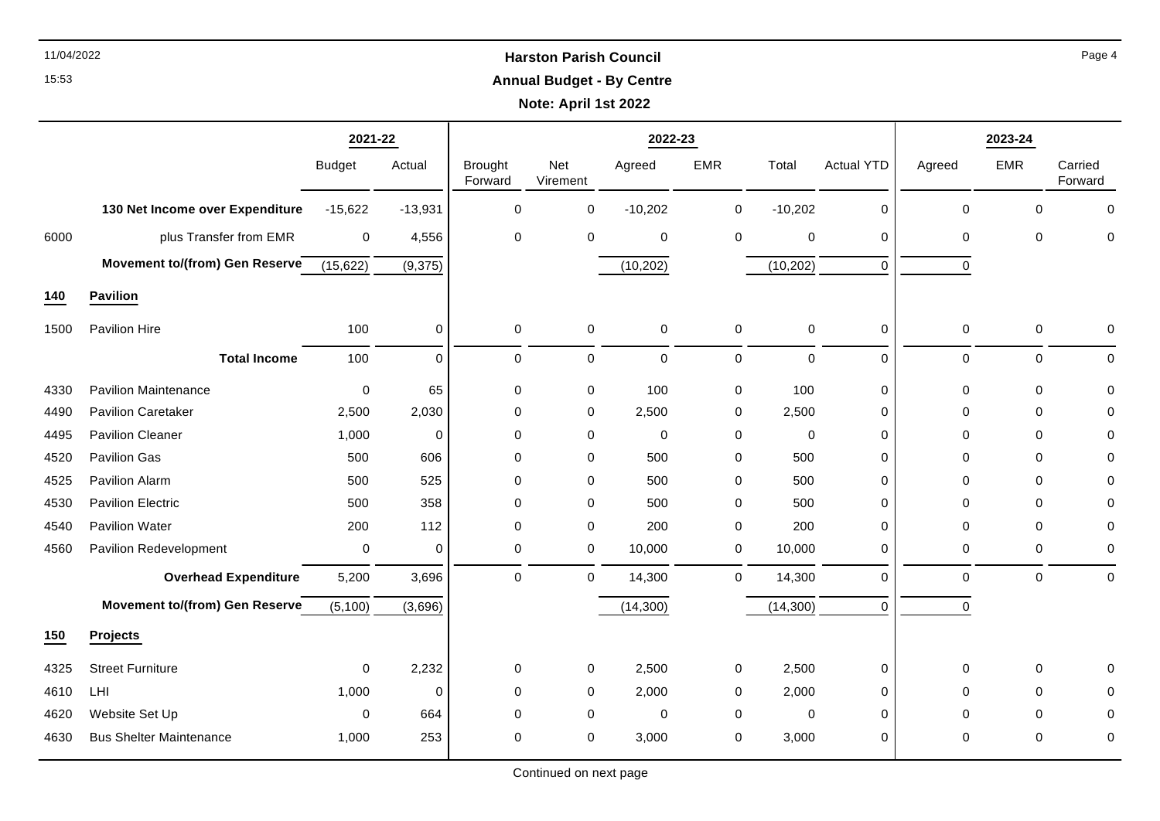# 11/04/2022 **Harston Parish Council Annual Budget - By Centre**

**Note: April 1st 2022**

|      |                                       | 2021-22          |             | 2022-23                   |                 |             |              |             |                   | 2023-24     |             |                    |  |
|------|---------------------------------------|------------------|-------------|---------------------------|-----------------|-------------|--------------|-------------|-------------------|-------------|-------------|--------------------|--|
|      |                                       | <b>Budget</b>    | Actual      | <b>Brought</b><br>Forward | Net<br>Virement | Agreed      | <b>EMR</b>   | Total       | <b>Actual YTD</b> | Agreed      | <b>EMR</b>  | Carried<br>Forward |  |
|      | 130 Net Income over Expenditure       | $-15,622$        | $-13,931$   | $\mathbf 0$               | 0               | $-10,202$   | 0            | $-10,202$   | 0                 | $\Omega$    | $\Omega$    | $\mathbf 0$        |  |
| 6000 | plus Transfer from EMR                | $\mathbf 0$      | 4,556       | $\pmb{0}$                 | 0               | $\pmb{0}$   | 0            | 0           | 0                 | 0           | $\mathbf 0$ | $\mathbf 0$        |  |
|      | Movement to/(from) Gen Reserve        | (15, 622)        | (9, 375)    |                           |                 | (10, 202)   |              | (10, 202)   | 0                 | 0           |             |                    |  |
| 140  | <b>Pavilion</b>                       |                  |             |                           |                 |             |              |             |                   |             |             |                    |  |
| 1500 | Pavilion Hire                         | 100              | 0           | $\mathbf 0$               | $\mathbf 0$     | $\mathbf 0$ | $\mathbf 0$  | $\mathbf 0$ | 0                 | 0           | 0           | 0                  |  |
|      | <b>Total Income</b>                   | 100              | $\mathbf 0$ | $\pmb{0}$                 | $\mathbf 0$     | $\mathbf 0$ | $\mathsf{O}$ | 0           | 0                 | $\mathbf 0$ | $\mathbf 0$ | 0                  |  |
| 4330 | <b>Pavilion Maintenance</b>           | $\mathbf 0$      | 65          | $\pmb{0}$                 | $\pmb{0}$       | 100         | $\pmb{0}$    | 100         | 0                 | 0           | $\mathbf 0$ | $\pmb{0}$          |  |
| 4490 | <b>Pavilion Caretaker</b>             | 2,500            | 2,030       | $\mathbf 0$               | 0               | 2,500       | 0            | 2,500       | 0                 | 0           | 0           | 0                  |  |
| 4495 | <b>Pavilion Cleaner</b>               | 1,000            | $\mathbf 0$ | $\mathbf 0$               | 0               | $\mathbf 0$ | 0            | 0           | 0                 | $\Omega$    | $\Omega$    | $\mathbf 0$        |  |
| 4520 | Pavilion Gas                          | 500              | 606         | $\pmb{0}$                 | 0               | 500         | 0            | 500         | 0                 | 0           | $\mathbf 0$ | 0                  |  |
| 4525 | Pavilion Alarm                        | 500              | 525         | $\mathbf 0$               | 0               | 500         | 0            | 500         | 0                 | $\Omega$    | $\Omega$    | 0                  |  |
| 4530 | <b>Pavilion Electric</b>              | 500              | 358         | $\mathbf 0$               | 0               | 500         | 0            | 500         | 0                 | $\Omega$    | $\Omega$    | 0                  |  |
| 4540 | Pavilion Water                        | 200              | 112         | $\mathbf 0$               | $\pmb{0}$       | 200         | $\mathbf 0$  | 200         | 0                 | 0           | 0           | 0                  |  |
| 4560 | Pavilion Redevelopment                | $\boldsymbol{0}$ | $\mathbf 0$ | $\pmb{0}$                 | $\mathsf{O}$    | 10,000      | $\mathbf 0$  | 10,000      | 0                 | 0           | $\mathbf 0$ | $\pmb{0}$          |  |
|      | <b>Overhead Expenditure</b>           | 5,200            | 3,696       | $\mathbf 0$               | $\mathbf 0$     | 14,300      | 0            | 14,300      | 0                 | $\mathbf 0$ | $\Omega$    | $\mathbf 0$        |  |
|      | <b>Movement to/(from) Gen Reserve</b> | (5, 100)         | (3,696)     |                           |                 | (14, 300)   |              | (14, 300)   | $\Omega$          | $\mathbf 0$ |             |                    |  |
| 150  | <b>Projects</b>                       |                  |             |                           |                 |             |              |             |                   |             |             |                    |  |
| 4325 | <b>Street Furniture</b>               | $\mathbf 0$      | 2,232       | $\,0\,$                   | $\mathsf{O}$    | 2,500       | 0            | 2,500       | 0                 | $\pmb{0}$   | 0           | $\mathbf 0$        |  |
| 4610 | LHI                                   | 1,000            | $\mathbf 0$ | $\pmb{0}$                 | 0               | 2,000       | 0            | 2,000       | 0                 | 0           | $\mathbf 0$ | 0                  |  |
| 4620 | Website Set Up                        | $\mathbf 0$      | 664         | $\mathbf 0$               | 0               | $\mathbf 0$ | 0            | 0           | 0                 | 0           | $\Omega$    | 0                  |  |
| 4630 | <b>Bus Shelter Maintenance</b>        | 1,000            | 253         | 0                         | 0               | 3,000       | 0            | 3,000       | 0                 | 0           | $\Omega$    | 0                  |  |

15:53

Continued on next page

Page 4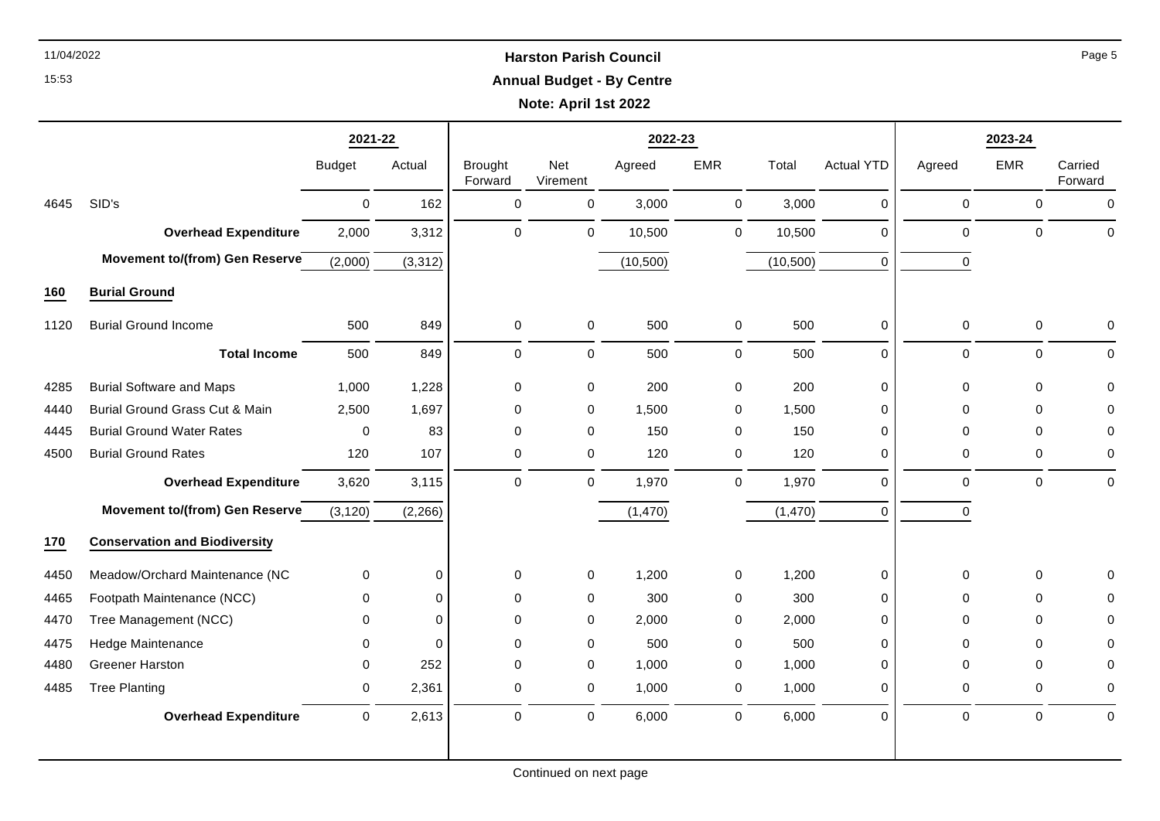# 11/04/2022 **Harston Parish Council Annual Budget - By Centre**

**Note: April 1st 2022**

|      |                                       | 2021-22       |             | 2022-23                   |                     |           |              |           |                   | 2023-24     |             |                    |  |
|------|---------------------------------------|---------------|-------------|---------------------------|---------------------|-----------|--------------|-----------|-------------------|-------------|-------------|--------------------|--|
|      |                                       | <b>Budget</b> | Actual      | <b>Brought</b><br>Forward | Net<br>Virement     | Agreed    | <b>EMR</b>   | Total     | <b>Actual YTD</b> | Agreed      | EMR         | Carried<br>Forward |  |
| 4645 | SID's                                 | $\mathbf 0$   | 162         | $\mathbf 0$               | $\mathbf 0$         | 3,000     | $\mathbf 0$  | 3,000     | $\Omega$          | $\mathbf 0$ | $\Omega$    | $\Omega$           |  |
|      | <b>Overhead Expenditure</b>           | 2,000         | 3,312       | $\mathbf 0$               | $\mathbf 0$         | 10,500    | 0            | 10,500    | 0                 | $\mathbf 0$ | $\Omega$    | $\mathbf 0$        |  |
|      | Movement to/(from) Gen Reserve        | (2,000)       | (3, 312)    |                           |                     | (10, 500) |              | (10, 500) | $\Omega$          | 0           |             |                    |  |
| 160  | <b>Burial Ground</b>                  |               |             |                           |                     |           |              |           |                   |             |             |                    |  |
| 1120 | <b>Burial Ground Income</b>           | 500           | 849         | 0                         | $\mathbf 0$         | 500       | $\mathbf 0$  | 500       | 0                 | $\mathbf 0$ | $\mathbf 0$ | $\mathbf 0$        |  |
|      | <b>Total Income</b>                   | 500           | 849         | $\Omega$                  | $\mathbf 0$         | 500       | $\mathsf{O}$ | 500       | $\Omega$          | $\mathbf 0$ | $\Omega$    | $\Omega$           |  |
| 4285 | <b>Burial Software and Maps</b>       | 1,000         | 1,228       | $\mathbf 0$               | 0                   | 200       | 0            | 200       | 0                 | 0           | $\Omega$    | $\mathbf 0$        |  |
| 4440 | Burial Ground Grass Cut & Main        | 2,500         | 1,697       | $\Omega$                  | $\mathbf 0$         | 1,500     | 0            | 1,500     | 0                 | $\Omega$    | $\Omega$    | $\Omega$           |  |
| 4445 | <b>Burial Ground Water Rates</b>      | 0             | 83          | $\mathbf 0$               | 0                   | 150       | 0            | 150       | 0                 | 0           | $\Omega$    | 0                  |  |
| 4500 | <b>Burial Ground Rates</b>            | 120           | 107         | $\mathbf 0$               | 0                   | 120       | 0            | 120       | 0                 | 0           | $\Omega$    | $\mathbf 0$        |  |
|      | <b>Overhead Expenditure</b>           | 3,620         | 3,115       | $\pmb{0}$                 | $\mathbf 0$         | 1,970     | $\mathbf 0$  | 1,970     | 0                 | $\mathbf 0$ | $\mathbf 0$ | $\mathbf 0$        |  |
|      | <b>Movement to/(from) Gen Reserve</b> | (3, 120)      | (2, 266)    |                           |                     | (1,470)   |              | (1,470)   | $\Omega$          | $\mathbf 0$ |             |                    |  |
| 170  | <b>Conservation and Biodiversity</b>  |               |             |                           |                     |           |              |           |                   |             |             |                    |  |
| 4450 | Meadow/Orchard Maintenance (NC        | $\mathbf 0$   | $\mathbf 0$ | 0                         | 0                   | 1,200     | $\mathbf 0$  | 1,200     | 0                 | $\Omega$    | $\mathbf 0$ | $\Omega$           |  |
| 4465 | Footpath Maintenance (NCC)            | $\mathbf{0}$  | $\Omega$    | $\mathbf 0$               | 0                   | 300       | 0            | 300       | 0                 | $\Omega$    | $\Omega$    | 0                  |  |
| 4470 | Tree Management (NCC)                 | $\mathbf{0}$  | $\Omega$    | $\mathbf 0$               | $\mathbf 0$         | 2,000     | 0            | 2,000     | $\Omega$          | $\Omega$    | $\Omega$    | $\mathbf 0$        |  |
| 4475 | Hedge Maintenance                     | $\mathbf{0}$  | $\Omega$    | $\mathbf 0$               | 0                   | 500       | 0            | 500       | $\Omega$          | $\Omega$    | $\Omega$    | 0                  |  |
| 4480 | <b>Greener Harston</b>                | $\mathbf{0}$  | 252         | $\Omega$                  | $\mathbf 0$         | 1,000     | 0            | 1,000     | 0                 | $\Omega$    | $\Omega$    | 0                  |  |
| 4485 | <b>Tree Planting</b>                  | $\mathbf 0$   | 2,361       | $\mathbf 0$               | $\mathbf 0$         | 1,000     | 0            | 1,000     | $\Omega$          | $\Omega$    | $\Omega$    | $\mathbf 0$        |  |
|      | <b>Overhead Expenditure</b>           | $\mathbf 0$   | 2,613       | $\pmb{0}$                 | $\mathsf{O}\xspace$ | 6,000     | 0            | 6,000     | 0                 | $\pmb{0}$   | $\pmb{0}$   | $\mathbf 0$        |  |

Page 5